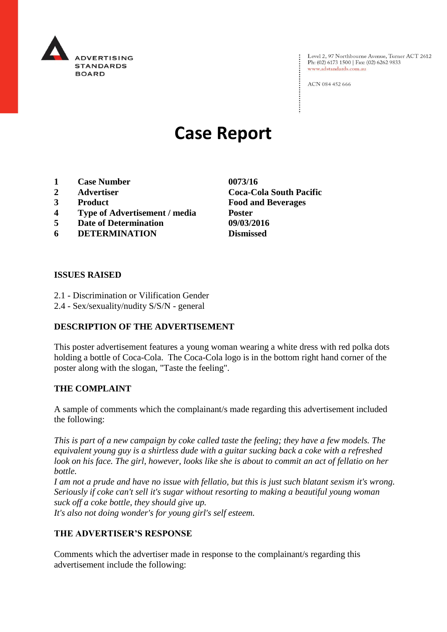

Level 2, 97 Northbourne Avenue, Turner ACT 2612<br>Ph: (02) 6173 1500 | Fax: (02) 6262 9833 www.adstandards.com.au

ACN 084 452 666

# **Case Report**

- **1 Case Number 0073/16**
- 
- 
- **4 Type of Advertisement / media Poster**
- **5 Date of Determination 09/03/2016**
- **6 DETERMINATION Dismissed**

# **ISSUES RAISED**

- 2.1 Discrimination or Vilification Gender
- 2.4 Sex/sexuality/nudity S/S/N general

### **DESCRIPTION OF THE ADVERTISEMENT**

This poster advertisement features a young woman wearing a white dress with red polka dots holding a bottle of Coca-Cola. The Coca-Cola logo is in the bottom right hand corner of the poster along with the slogan, "Taste the feeling".

#### **THE COMPLAINT**

A sample of comments which the complainant/s made regarding this advertisement included the following:

*This is part of a new campaign by coke called taste the feeling; they have a few models. The equivalent young guy is a shirtless dude with a guitar sucking back a coke with a refreshed look on his face. The girl, however, looks like she is about to commit an act of fellatio on her bottle.*

*I am not a prude and have no issue with fellatio, but this is just such blatant sexism it's wrong. Seriously if coke can't sell it's sugar without resorting to making a beautiful young woman suck off a coke bottle, they should give up. It's also not doing wonder's for young girl's self esteem.*

# **THE ADVERTISER'S RESPONSE**

Comments which the advertiser made in response to the complainant/s regarding this advertisement include the following:

**2 Advertiser Coca-Cola South Pacific 3 Product Food and Beverages**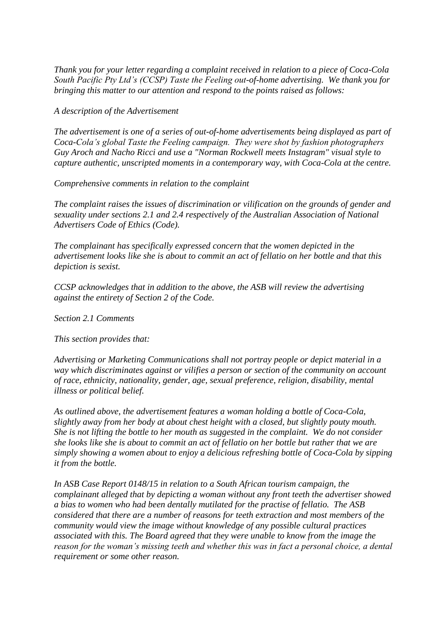*Thank you for your letter regarding a complaint received in relation to a piece of Coca-Cola South Pacific Pty Ltd's (CCSP) Taste the Feeling out-of-home advertising. We thank you for bringing this matter to our attention and respond to the points raised as follows:*

*A description of the Advertisement*

*The advertisement is one of a series of out-of-home advertisements being displayed as part of Coca-Cola's global Taste the Feeling campaign. They were shot by fashion photographers Guy Aroch and Nacho Ricci and use a "Norman Rockwell meets Instagram" visual style to capture authentic, unscripted moments in a contemporary way, with Coca-Cola at the centre.*

*Comprehensive comments in relation to the complaint*

*The complaint raises the issues of discrimination or vilification on the grounds of gender and sexuality under sections 2.1 and 2.4 respectively of the Australian Association of National Advertisers Code of Ethics (Code).*

*The complainant has specifically expressed concern that the women depicted in the advertisement looks like she is about to commit an act of fellatio on her bottle and that this depiction is sexist.*

*CCSP acknowledges that in addition to the above, the ASB will review the advertising against the entirety of Section 2 of the Code.*

*Section 2.1 Comments*

*This section provides that:*

*Advertising or Marketing Communications shall not portray people or depict material in a way which discriminates against or vilifies a person or section of the community on account of race, ethnicity, nationality, gender, age, sexual preference, religion, disability, mental illness or political belief.*

*As outlined above, the advertisement features a woman holding a bottle of Coca-Cola, slightly away from her body at about chest height with a closed, but slightly pouty mouth. She is not lifting the bottle to her mouth as suggested in the complaint. We do not consider she looks like she is about to commit an act of fellatio on her bottle but rather that we are simply showing a women about to enjoy a delicious refreshing bottle of Coca-Cola by sipping it from the bottle.*

*In ASB Case Report 0148/15 in relation to a South African tourism campaign, the complainant alleged that by depicting a woman without any front teeth the advertiser showed a bias to women who had been dentally mutilated for the practise of fellatio. The ASB considered that there are a number of reasons for teeth extraction and most members of the community would view the image without knowledge of any possible cultural practices associated with this. The Board agreed that they were unable to know from the image the reason for the woman's missing teeth and whether this was in fact a personal choice, a dental requirement or some other reason.*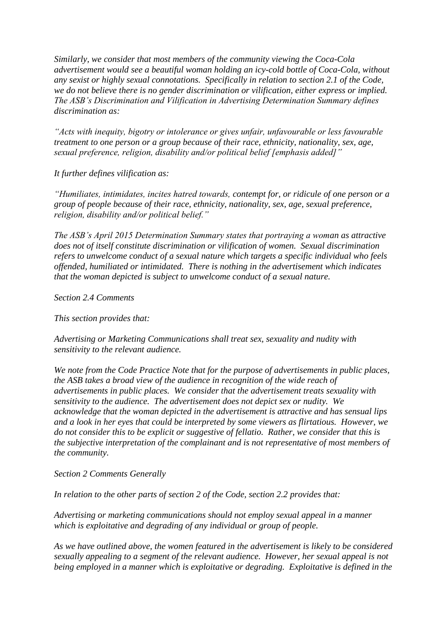*Similarly, we consider that most members of the community viewing the Coca-Cola advertisement would see a beautiful woman holding an icy-cold bottle of Coca-Cola, without any sexist or highly sexual connotations. Specifically in relation to section 2.1 of the Code, we do not believe there is no gender discrimination or vilification, either express or implied. The ASB's Discrimination and Vilification in Advertising Determination Summary defines discrimination as:*

*"Acts with inequity, bigotry or intolerance or gives unfair, unfavourable or less favourable treatment to one person or a group because of their race, ethnicity, nationality, sex, age, sexual preference, religion, disability and/or political belief [emphasis added]"*

*It further defines vilification as:*

*"Humiliates, intimidates, incites hatred towards, contempt for, or ridicule of one person or a group of people because of their race, ethnicity, nationality, sex, age, sexual preference, religion, disability and/or political belief."*

*The ASB's April 2015 Determination Summary states that portraying a woman as attractive does not of itself constitute discrimination or vilification of women. Sexual discrimination refers to unwelcome conduct of a sexual nature which targets a specific individual who feels offended, humiliated or intimidated. There is nothing in the advertisement which indicates that the woman depicted is subject to unwelcome conduct of a sexual nature.*

*Section 2.4 Comments*

*This section provides that:*

*Advertising or Marketing Communications shall treat sex, sexuality and nudity with sensitivity to the relevant audience.*

*We note from the Code Practice Note that for the purpose of advertisements in public places, the ASB takes a broad view of the audience in recognition of the wide reach of advertisements in public places. We consider that the advertisement treats sexuality with sensitivity to the audience. The advertisement does not depict sex or nudity. We acknowledge that the woman depicted in the advertisement is attractive and has sensual lips and a look in her eyes that could be interpreted by some viewers as flirtatious. However, we do not consider this to be explicit or suggestive of fellatio. Rather, we consider that this is the subjective interpretation of the complainant and is not representative of most members of the community.*

*Section 2 Comments Generally*

*In relation to the other parts of section 2 of the Code, section 2.2 provides that:*

*Advertising or marketing communications should not employ sexual appeal in a manner which is exploitative and degrading of any individual or group of people.*

*As we have outlined above, the women featured in the advertisement is likely to be considered sexually appealing to a segment of the relevant audience. However, her sexual appeal is not being employed in a manner which is exploitative or degrading. Exploitative is defined in the*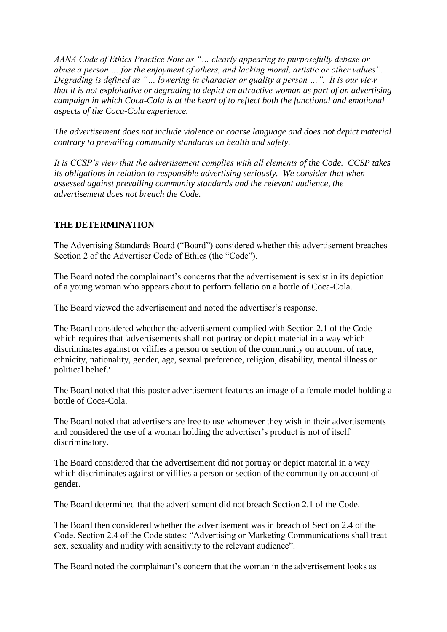*AANA Code of Ethics Practice Note as "… clearly appearing to purposefully debase or abuse a person … for the enjoyment of others, and lacking moral, artistic or other values". Degrading is defined as "… lowering in character or quality a person …". It is our view that it is not exploitative or degrading to depict an attractive woman as part of an advertising campaign in which Coca-Cola is at the heart of to reflect both the functional and emotional aspects of the Coca-Cola experience.*

*The advertisement does not include violence or coarse language and does not depict material contrary to prevailing community standards on health and safety.*

*It is CCSP's view that the advertisement complies with all elements of the Code. CCSP takes its obligations in relation to responsible advertising seriously. We consider that when assessed against prevailing community standards and the relevant audience, the advertisement does not breach the Code.*

## **THE DETERMINATION**

The Advertising Standards Board ("Board") considered whether this advertisement breaches Section 2 of the Advertiser Code of Ethics (the "Code").

The Board noted the complainant's concerns that the advertisement is sexist in its depiction of a young woman who appears about to perform fellatio on a bottle of Coca-Cola.

The Board viewed the advertisement and noted the advertiser's response.

The Board considered whether the advertisement complied with Section 2.1 of the Code which requires that 'advertisements shall not portray or depict material in a way which discriminates against or vilifies a person or section of the community on account of race, ethnicity, nationality, gender, age, sexual preference, religion, disability, mental illness or political belief.'

The Board noted that this poster advertisement features an image of a female model holding a bottle of Coca-Cola.

The Board noted that advertisers are free to use whomever they wish in their advertisements and considered the use of a woman holding the advertiser's product is not of itself discriminatory.

The Board considered that the advertisement did not portray or depict material in a way which discriminates against or vilifies a person or section of the community on account of gender.

The Board determined that the advertisement did not breach Section 2.1 of the Code.

The Board then considered whether the advertisement was in breach of Section 2.4 of the Code. Section 2.4 of the Code states: "Advertising or Marketing Communications shall treat sex, sexuality and nudity with sensitivity to the relevant audience".

The Board noted the complainant's concern that the woman in the advertisement looks as